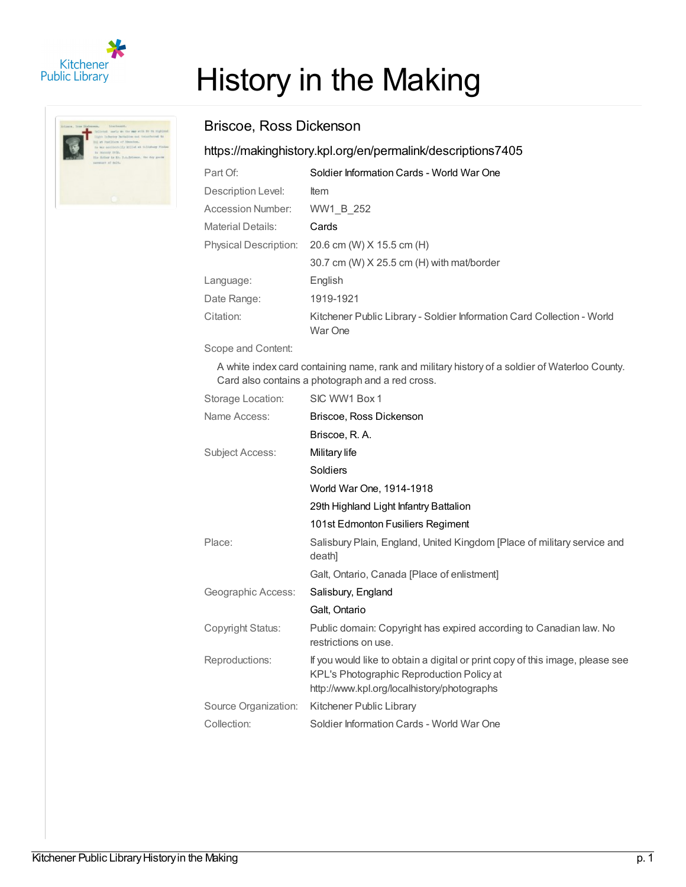



## History in the Making

## Briscoe, Ross Dickenson

## <https://makinghistory.kpl.org/en/permalink/descriptions7405>

| Part Of:                     | Soldier Information Cards - World War One                                         |
|------------------------------|-----------------------------------------------------------------------------------|
| Description Level:           | <b>Item</b>                                                                       |
| Accession Number:            | WW1 B 252                                                                         |
| Material Details:            | Cards                                                                             |
| <b>Physical Description:</b> | 20.6 cm (W) X 15.5 cm (H)                                                         |
|                              | 30.7 cm (W) X 25.5 cm (H) with mat/border                                         |
| Language:                    | English                                                                           |
| Date Range:                  | 1919-1921                                                                         |
| Citation:                    | Kitchener Public Library - Soldier Information Card Collection - World<br>War One |

Scope and Content:

A white index card containing name, rank and military history of a soldier of Waterloo County. Card also contains a photograph and a red cross.

| Storage Location:      | SIC WW1 Box 1                                                                                                                                                             |
|------------------------|---------------------------------------------------------------------------------------------------------------------------------------------------------------------------|
| Name Access:           | Briscoe, Ross Dickenson                                                                                                                                                   |
|                        | Briscoe, R.A.                                                                                                                                                             |
| <b>Subject Access:</b> | Military life                                                                                                                                                             |
|                        | Soldiers                                                                                                                                                                  |
|                        | World War One, 1914-1918                                                                                                                                                  |
|                        | 29th Highland Light Infantry Battalion                                                                                                                                    |
|                        | 101st Edmonton Fusiliers Regiment                                                                                                                                         |
| Place:                 | Salisbury Plain, England, United Kingdom [Place of military service and<br>death]                                                                                         |
|                        | Galt, Ontario, Canada [Place of enlistment]                                                                                                                               |
| Geographic Access:     | Salisbury, England                                                                                                                                                        |
|                        | Galt, Ontario                                                                                                                                                             |
| Copyright Status:      | Public domain: Copyright has expired according to Canadian law. No<br>restrictions on use.                                                                                |
| Reproductions:         | If you would like to obtain a digital or print copy of this image, please see<br>KPL's Photographic Reproduction Policy at<br>http://www.kpl.org/localhistory/photographs |
| Source Organization:   | Kitchener Public Library                                                                                                                                                  |
| Collection:            | Soldier Information Cards - World War One                                                                                                                                 |